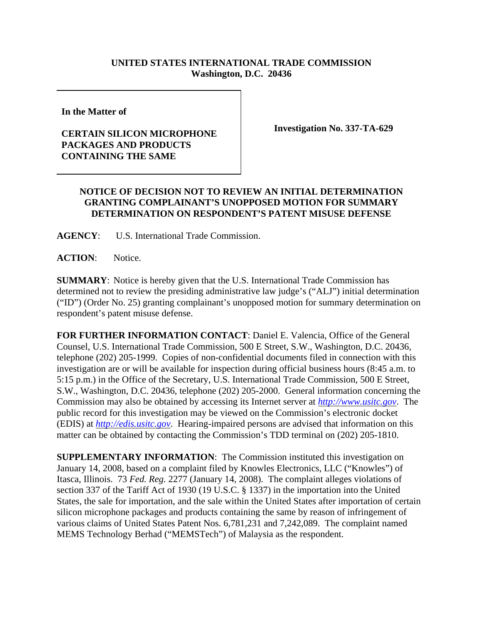## **UNITED STATES INTERNATIONAL TRADE COMMISSION Washington, D.C. 20436**

**In the Matter of** 

## **CERTAIN SILICON MICROPHONE PACKAGES AND PRODUCTS CONTAINING THE SAME**

**Investigation No. 337-TA-629**

## **NOTICE OF DECISION NOT TO REVIEW AN INITIAL DETERMINATION GRANTING COMPLAINANT'S UNOPPOSED MOTION FOR SUMMARY DETERMINATION ON RESPONDENT'S PATENT MISUSE DEFENSE**

**AGENCY**: U.S. International Trade Commission.

**ACTION**: Notice.

**SUMMARY**: Notice is hereby given that the U.S. International Trade Commission has determined not to review the presiding administrative law judge's ("ALJ") initial determination ("ID") (Order No. 25) granting complainant's unopposed motion for summary determination on respondent's patent misuse defense.

**FOR FURTHER INFORMATION CONTACT**: Daniel E. Valencia, Office of the General Counsel, U.S. International Trade Commission, 500 E Street, S.W., Washington, D.C. 20436, telephone (202) 205-1999. Copies of non-confidential documents filed in connection with this investigation are or will be available for inspection during official business hours (8:45 a.m. to 5:15 p.m.) in the Office of the Secretary, U.S. International Trade Commission, 500 E Street, S.W., Washington, D.C. 20436, telephone (202) 205-2000. General information concerning the Commission may also be obtained by accessing its Internet server at *http://www.usitc.gov*. The public record for this investigation may be viewed on the Commission's electronic docket (EDIS) at *http://edis.usitc.gov*. Hearing-impaired persons are advised that information on this matter can be obtained by contacting the Commission's TDD terminal on (202) 205-1810.

**SUPPLEMENTARY INFORMATION**: The Commission instituted this investigation on January 14, 2008, based on a complaint filed by Knowles Electronics, LLC ("Knowles") of Itasca, Illinois. 73 *Fed. Reg.* 2277 (January 14, 2008). The complaint alleges violations of section 337 of the Tariff Act of 1930 (19 U.S.C. § 1337) in the importation into the United States, the sale for importation, and the sale within the United States after importation of certain silicon microphone packages and products containing the same by reason of infringement of various claims of United States Patent Nos. 6,781,231 and 7,242,089. The complaint named MEMS Technology Berhad ("MEMSTech") of Malaysia as the respondent.